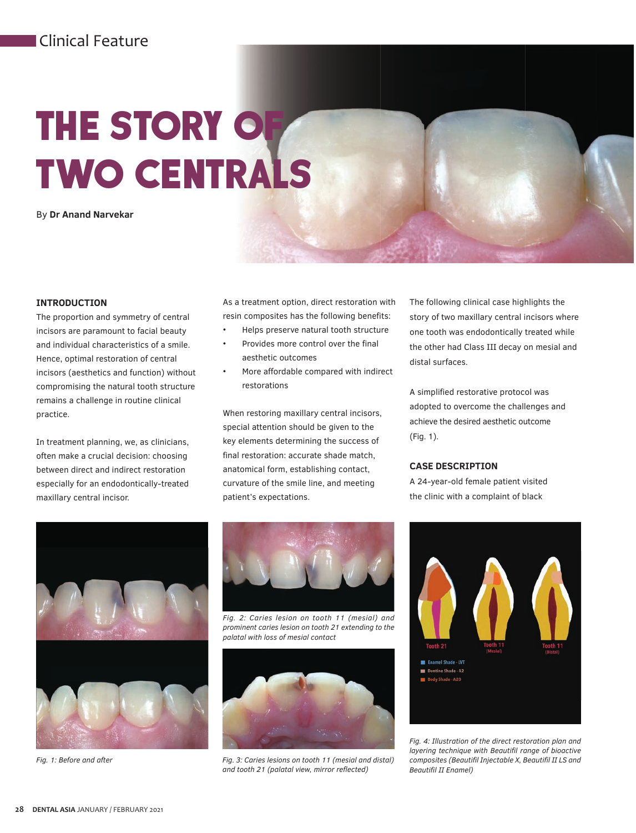# The story of two centrals

By **Dr Anand Narvekar**

#### **INTRODUCTION**

The proportion and symmetry of central incisors are paramount to facial beauty and individual characteristics of a smile. Hence, optimal restoration of central incisors (aesthetics and function) without compromising the natural tooth structure remains a challenge in routine clinical practice.

In treatment planning, we, as clinicians, often make a crucial decision: choosing between direct and indirect restoration especially for an endodontically-treated maxillary central incisor.

As a treatment option, direct restoration with resin composites has the following benefits:

- Helps preserve natural tooth structure
- Provides more control over the final aesthetic outcomes
- More affordable compared with indirect restorations

When restoring maxillary central incisors, special attention should be given to the key elements determining the success of final restoration: accurate shade match, anatomical form, establishing contact, curvature of the smile line, and meeting patient's expectations.

The following clinical case highlights the story of two maxillary central incisors where one tooth was endodontically treated while the other had Class III decay on mesial and distal surfaces.

A simplified restorative protocol was adopted to overcome the challenges and achieve the desired aesthetic outcome (Fig. 1).

#### **CASE DESCRIPTION**

A 24-year-old female patient visited the clinic with a complaint of black



*Fig. 1: Before and after*



*Fig. 2: Caries lesion on tooth 11 (mesial) and prominent caries lesion on tooth 21 extending to the palatal with loss of mesial contact*



*Fig. 3: Caries lesions on tooth 11 (mesial and distal)*  and tooth 21 (palatal view, mirror reflected)



*Fig. 4: Illustration of the direct restoration plan and*  layering technique with Beautifil range of bioactive *composites (Beautifi l Injectable X, Beautifi l II LS and*  **Beautifil II Enamel)**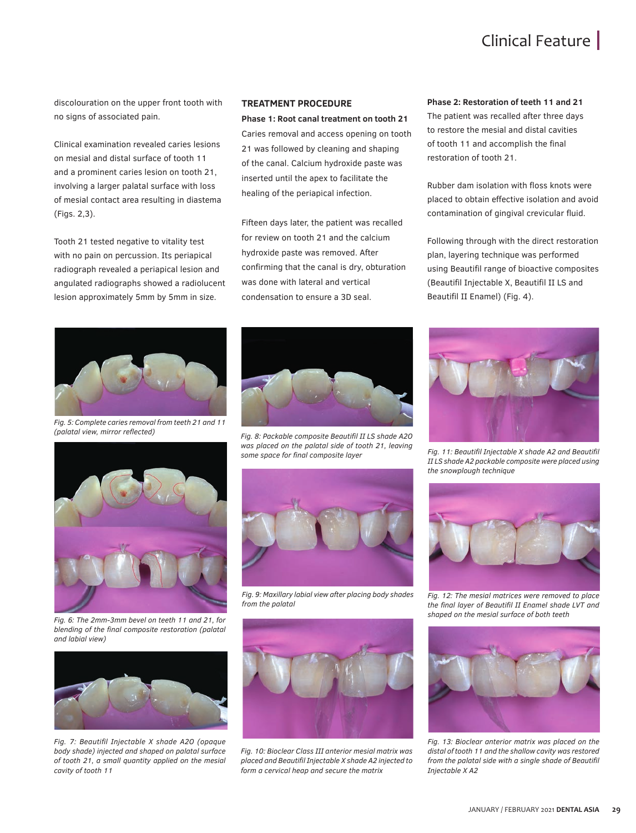## Clinical Feature

discolouration on the upper front tooth with no signs of associated pain.

Clinical examination revealed caries lesions on mesial and distal surface of tooth 11 and a prominent caries lesion on tooth 21, involving a larger palatal surface with loss of mesial contact area resulting in diastema (Figs. 2,3).

Tooth 21 tested negative to vitality test with no pain on percussion. Its periapical radiograph revealed a periapical lesion and angulated radiographs showed a radiolucent lesion approximately 5mm by 5mm in size.

#### **TREATMENT PROCEDURE**

**Phase 1: Root canal treatment on tooth 21** Caries removal and access opening on tooth 21 was followed by cleaning and shaping of the canal. Calcium hydroxide paste was inserted until the apex to facilitate the healing of the periapical infection.

Fifteen days later, the patient was recalled for review on tooth 21 and the calcium hydroxide paste was removed. After confirming that the canal is dry, obturation was done with lateral and vertical condensation to ensure a 3D seal.

**Phase 2: Restoration of teeth 11 and 21** The patient was recalled after three days

to restore the mesial and distal cavities of tooth 11 and accomplish the final restoration of tooth 21.

Rubber dam isolation with floss knots were placed to obtain effective isolation and avoid contamination of gingival crevicular fluid.

Following through with the direct restoration plan, layering technique was performed using Beautifil range of bioactive composites (Beautifil Injectable X, Beautifil II LS and Beautifil II Enamel) (Fig. 4).



*Fig. 5: Complete caries removal from teeth 21 and 11* 



*Fig. 6: The 2mm-3mm bevel on teeth 11 and 21, for blending of the final composite restoration (palatal and labial view)* 



*Fig. 7: Beautifil Injectable X shade A2O (opaque body shade) injected and shaped on palatal surface of tooth 21, a small quantity applied on the mesial cavity of tooth 11*



*(palatal view, mirror reflected) Fig. 8: Packable composite Beautifil II LS shade A2O was placed on the palatal side of tooth 21, leaving some space for final composite layer* 



*Fig. 9: Maxillary labial view after placing body shades from the palatal*



*Fig. 10: Bioclear Class III anterior mesial matrix was placed and Beautifil Injectable X shade A2 injected to form a cervical heap and secure the matrix*



*Fig. 11: Beautifil Injectable X shade A2 and Beautifil II LS shade A2 packable composite were placed using the snowplough technique*



*Fig. 12: The mesial matrices were removed to place the final layer of Beautifil II Enamel shade LVT and shaped on the mesial surface of both teeth*



*Fig. 13: Bioclear anterior matrix was placed on the distal of tooth 11 and the shallow cavity was restored from the palatal side with a single shade of Beautifil Injectable X A2*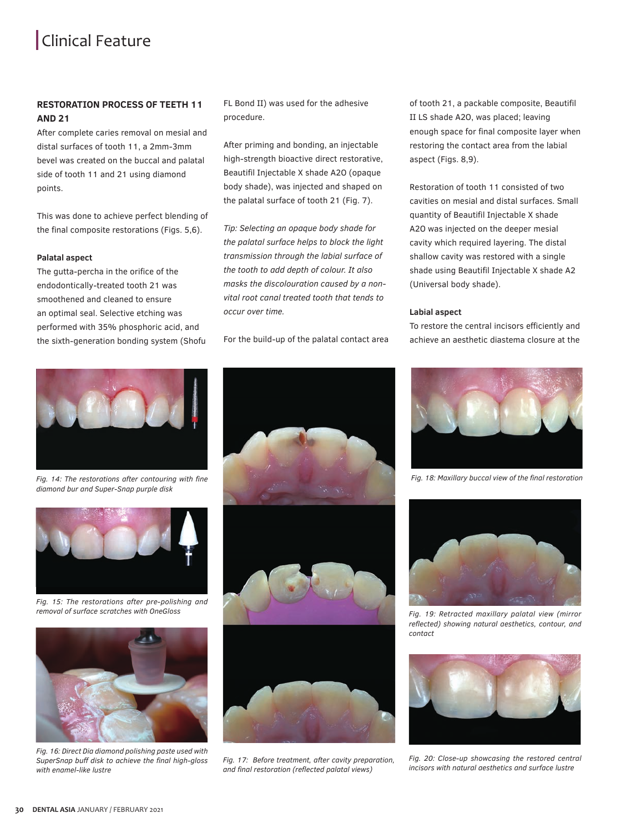# Clinical Feature

#### **RESTORATION PROCESS OF TEETH 11 AND 21**

After complete caries removal on mesial and distal surfaces of tooth 11, a 2mm-3mm bevel was created on the buccal and palatal side of tooth 11 and 21 using diamond points.

This was done to achieve perfect blending of the final composite restorations (Figs. 5,6).

#### **Palatal aspect**

The gutta-percha in the orifice of the endodontically-treated tooth 21 was smoothened and cleaned to ensure an optimal seal. Selective etching was performed with 35% phosphoric acid, and the sixth-generation bonding system (Shofu



*Fig. 14: The restorations after contouring with fine diamond bur and Super-Snap purple disk* 



*Fig. 15: The restorations after pre-polishing and removal of surface scratches with OneGloss*



*Fig. 16: Direct Dia diamond polishing paste used with SuperSnap buff disk to achieve the final high-gloss with enamel-like lustre*

FL Bond II) was used for the adhesive procedure.

After priming and bonding, an injectable high-strength bioactive direct restorative, Beautifil Injectable X shade A2O (opaque body shade), was injected and shaped on the palatal surface of tooth 21 (Fig. 7).

*Tip: Selecting an opaque body shade for the palatal surface helps to block the light transmission through the labial surface of the tooth to add depth of colour. It also masks the discolouration caused by a nonvital root canal treated tooth that tends to occur over time.*

For the build-up of the palatal contact area

of tooth 21, a packable composite, Beautifil II LS shade A2O, was placed; leaving enough space for final composite layer when restoring the contact area from the labial aspect (Figs. 8.9).

Restoration of tooth 11 consisted of two cavities on mesial and distal surfaces. Small quantity of Beautifil Injectable X shade A2O was injected on the deeper mesial cavity which required layering. The distal shallow cavity was restored with a single shade using Beautifil Injectable X shade A2 (Universal body shade).

#### **Labial aspect**

To restore the central incisors efficiently and achieve an aesthetic diastema closure at the



*Fig. 18: Maxillary buccal view of the final restoration*



*Fig. 19: Retracted maxillary palatal view (mirror reflected) showing natural aesthetics, contour, and contact*



*Fig. 20: Close-up showcasing the restored central incisors with natural aesthetics and surface lustre*



*Fig. 17: Before treatment, after cavity preparation, and final restoration (reflected palatal views)*